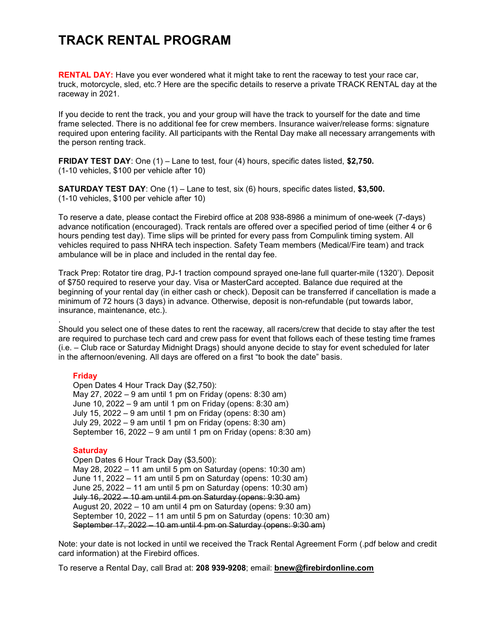# TRACK RENTAL PROGRAM

RENTAL DAY: Have you ever wondered what it might take to rent the raceway to test your race car, truck, motorcycle, sled, etc.? Here are the specific details to reserve a private TRACK RENTAL day at the raceway in 2021.

If you decide to rent the track, you and your group will have the track to yourself for the date and time frame selected. There is no additional fee for crew members. Insurance waiver/release forms: signature required upon entering facility. All participants with the Rental Day make all necessary arrangements with the person renting track.

FRIDAY TEST DAY: One (1) – Lane to test, four (4) hours, specific dates listed, \$2,750. (1-10 vehicles, \$100 per vehicle after 10)

**SATURDAY TEST DAY:** One (1) – Lane to test, six (6) hours, specific dates listed, \$3,500. (1-10 vehicles, \$100 per vehicle after 10)

To reserve a date, please contact the Firebird office at 208 938-8986 a minimum of one-week (7-days) advance notification (encouraged). Track rentals are offered over a specified period of time (either 4 or 6 hours pending test day). Time slips will be printed for every pass from Compulink timing system. All vehicles required to pass NHRA tech inspection. Safety Team members (Medical/Fire team) and track ambulance will be in place and included in the rental day fee.

Track Prep: Rotator tire drag, PJ-1 traction compound sprayed one-lane full quarter-mile (1320'). Deposit of \$750 required to reserve your day. Visa or MasterCard accepted. Balance due required at the beginning of your rental day (in either cash or check). Deposit can be transferred if cancellation is made a minimum of 72 hours (3 days) in advance. Otherwise, deposit is non-refundable (put towards labor, insurance, maintenance, etc.).

Should you select one of these dates to rent the raceway, all racers/crew that decide to stay after the test are required to purchase tech card and crew pass for event that follows each of these testing time frames (i.e. – Club race or Saturday Midnight Drags) should anyone decide to stay for event scheduled for later in the afternoon/evening. All days are offered on a first "to book the date" basis.

### Friday

.

Open Dates 4 Hour Track Day (\$2,750): May 27, 2022 – 9 am until 1 pm on Friday (opens: 8:30 am) June 10, 2022 – 9 am until 1 pm on Friday (opens: 8:30 am) July 15, 2022 – 9 am until 1 pm on Friday (opens: 8:30 am) July 29, 2022 – 9 am until 1 pm on Friday (opens: 8:30 am) September 16, 2022 – 9 am until 1 pm on Friday (opens: 8:30 am)

### **Saturday**

Open Dates 6 Hour Track Day (\$3,500): May 28, 2022 – 11 am until 5 pm on Saturday (opens: 10:30 am) June 11, 2022 – 11 am until 5 pm on Saturday (opens: 10:30 am) June 25, 2022 – 11 am until 5 pm on Saturday (opens: 10:30 am) July 16, 2022 – 10 am until 4 pm on Saturday (opens: 9:30 am) August 20, 2022 – 10 am until 4 pm on Saturday (opens: 9:30 am) September 10, 2022 – 11 am until 5 pm on Saturday (opens: 10:30 am) September 17, 2022 – 10 am until 4 pm on Saturday (opens: 9:30 am)

Note: your date is not locked in until we received the Track Rental Agreement Form (.pdf below and credit card information) at the Firebird offices.

To reserve a Rental Day, call Brad at: 208 939-9208; email: bnew@firebirdonline.com